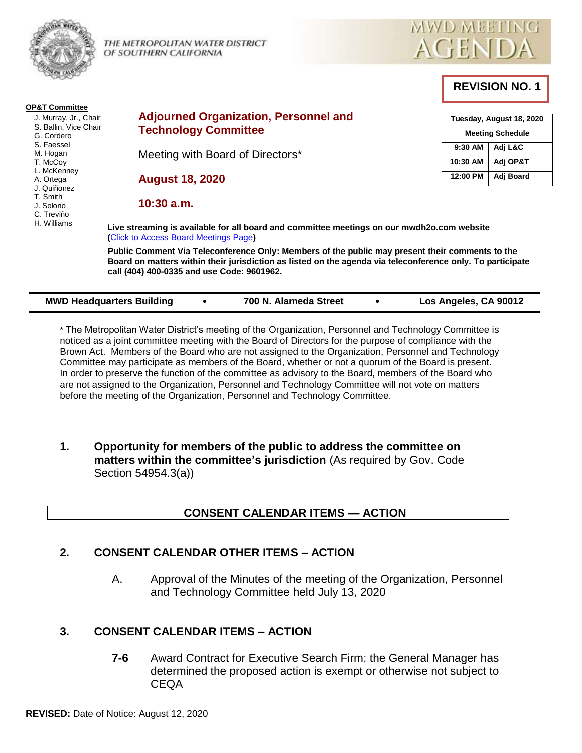

THE METROPOLITAN WATER DISTRICT OF SOUTHERN CALIFORNIA

**Technology Committee**

**August 18, 2020**

**10:30 a.m.**

Meeting with Board of Directors\*

**Adjourned Organization, Personnel and** 



**REVISION NO. 1**

# **Tuesday, August 18, 2020 Meeting Schedule 9:30 AM Adj L&C 10:30 AM Adj OP&T 12:00 PM Adj Board**

J. Murray, Jr., Chair S. Ballin, Vice Chair

**OP&T Committee**

- G. Cordero
- S. Faessel
- M. Hogan
- T. McCoy
- L. McKenney
- A. Ortega
- J. Quiñonez
- T. Smith
- J. Solorio
- C. Treviño H. Williams

**Live streaming is available for all board and committee meetings on our mwdh2o.com website (**[Click to Access Board Meetings Page](http://www.mwdh2o.com/WhoWeAre/Board/Board-Meeting/Pages/default.aspx)**)**

**Public Comment Via Teleconference Only: Members of the public may present their comments to the Board on matters within their jurisdiction as listed on the agenda via teleconference only. To participate call (404) 400-0335 and use Code: 9601962.**

| <b>MWD Headquarters Building</b> | 700 N. Alameda Street |  | Los Angeles, CA 90012 |
|----------------------------------|-----------------------|--|-----------------------|
|----------------------------------|-----------------------|--|-----------------------|

\* The Metropolitan Water District's meeting of the Organization, Personnel and Technology Committee is noticed as a joint committee meeting with the Board of Directors for the purpose of compliance with the Brown Act. Members of the Board who are not assigned to the Organization, Personnel and Technology Committee may participate as members of the Board, whether or not a quorum of the Board is present. In order to preserve the function of the committee as advisory to the Board, members of the Board who are not assigned to the Organization, Personnel and Technology Committee will not vote on matters before the meeting of the Organization, Personnel and Technology Committee.

**1. Opportunity for members of the public to address the committee on matters within the committee's jurisdiction** (As required by Gov. Code Section 54954.3(a))

## **CONSENT CALENDAR ITEMS — ACTION**

## **2. CONSENT CALENDAR OTHER ITEMS – ACTION**

A. Approval of the Minutes of the meeting of the Organization, Personnel and Technology Committee held July 13, 2020

## **3. CONSENT CALENDAR ITEMS – ACTION**

**7-6** Award Contract for Executive Search Firm; the General Manager has determined the proposed action is exempt or otherwise not subject to CEQA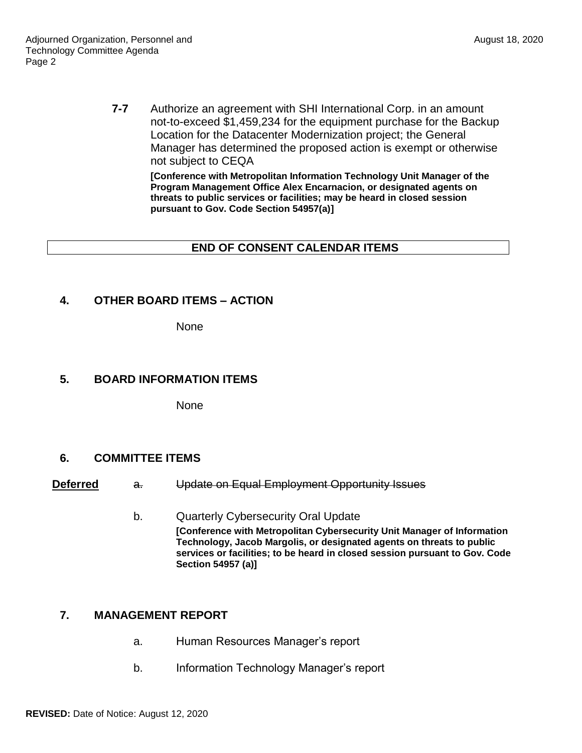**7-7** Authorize an agreement with SHI International Corp. in an amount not-to-exceed \$1,459,234 for the equipment purchase for the Backup Location for the Datacenter Modernization project; the General Manager has determined the proposed action is exempt or otherwise not subject to CEQA

**[Conference with Metropolitan Information Technology Unit Manager of the Program Management Office Alex Encarnacion, or designated agents on threats to public services or facilities; may be heard in closed session pursuant to Gov. Code Section 54957(a)]**

### **END OF CONSENT CALENDAR ITEMS**

## **4. OTHER BOARD ITEMS – ACTION**

None

#### **5. BOARD INFORMATION ITEMS**

None

#### **6. COMMITTEE ITEMS**

- **Deferred** a. Update on Equal Employment Opportunity Issues
	- b. Quarterly Cybersecurity Oral Update **[Conference with Metropolitan Cybersecurity Unit Manager of Information Technology, Jacob Margolis, or designated agents on threats to public services or facilities; to be heard in closed session pursuant to Gov. Code Section 54957 (a)]**

## **7. MANAGEMENT REPORT**

- a. Human Resources Manager's report
- b. Information Technology Manager's report